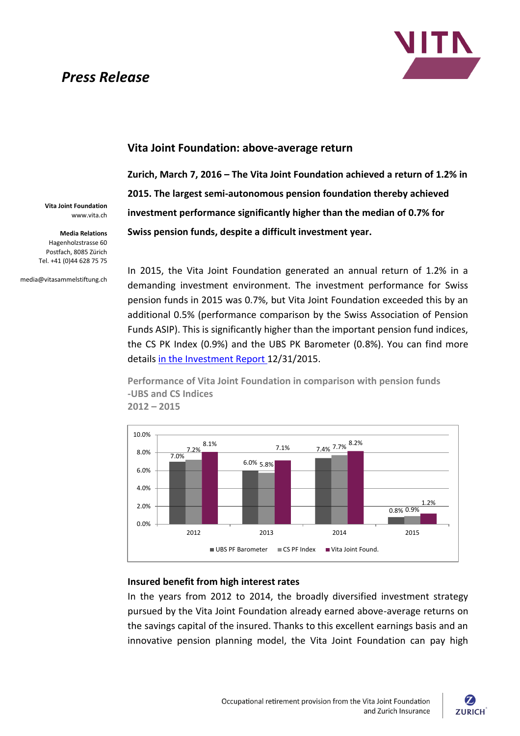# *Press Release*



## **Vita Joint Foundation: above-average return**

**Zurich, March 7, 2016 – The Vita Joint Foundation achieved a return of 1.2% in 2015. The largest semi-autonomous pension foundation thereby achieved investment performance significantly higher than the median of 0.7% for Swiss pension funds, despite a difficult investment year.** 

**Vita Joint Foundation** www.vita.ch

**Media Relations** Hagenholzstrasse 60 Postfach, 8085 Zürich Tel. +41 (0)44 628 75 75

media@vitasammelstiftung.ch

In 2015, the Vita Joint Foundation generated an annual return of 1.2% in a demanding investment environment. The investment performance for Swiss pension funds in 2015 was 0.7%, but Vita Joint Foundation exceeded this by an additional 0.5% (performance comparison by the Swiss Association of Pension Funds ASIP). This is significantly higher than the important pension fund indices, the CS PK Index (0.9%) and the UBS PK Barometer (0.8%). You can find more details [in the Investment Report 1](https://www.vita.ch/-/media/vita-site/dokumentenablage/pdfs/anlagereporting-q4-2015/investment-report-q4-2015.pdf?la=en)2/31/2015.

**Performance of Vita Joint Foundation in comparison with pension funds -UBS and CS Indices 2012 – 2015**



#### **Insured benefit from high interest rates**

In the years from 2012 to 2014, the broadly diversified investment strategy pursued by the Vita Joint Foundation already earned above-average returns on the savings capital of the insured. Thanks to this excellent earnings basis and an innovative pension planning model, the Vita Joint Foundation can pay high

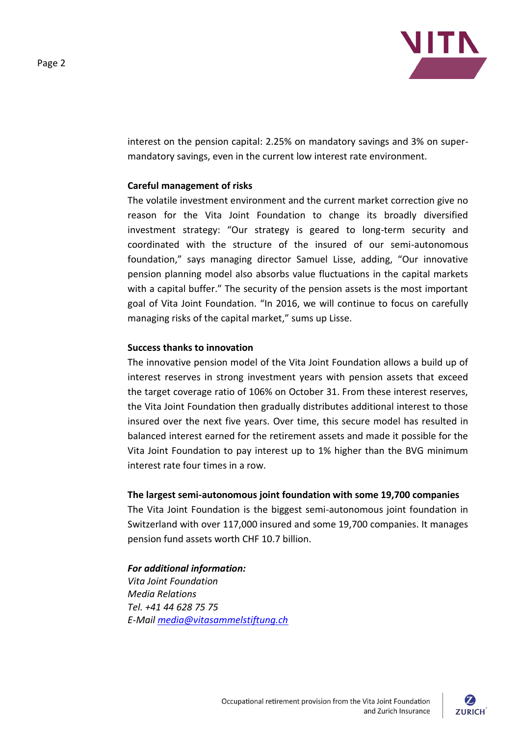



interest on the pension capital: 2.25% on mandatory savings and 3% on supermandatory savings, even in the current low interest rate environment.

#### **Careful management of risks**

The volatile investment environment and the current market correction give no reason for the Vita Joint Foundation to change its broadly diversified investment strategy: "Our strategy is geared to long-term security and coordinated with the structure of the insured of our semi-autonomous foundation," says managing director Samuel Lisse, adding, "Our innovative pension planning model also absorbs value fluctuations in the capital markets with a capital buffer." The security of the pension assets is the most important goal of Vita Joint Foundation. "In 2016, we will continue to focus on carefully managing risks of the capital market," sums up Lisse.

#### **Success thanks to innovation**

The innovative pension model of the Vita Joint Foundation allows a build up of interest reserves in strong investment years with pension assets that exceed the target coverage ratio of 106% on October 31. From these interest reserves, the Vita Joint Foundation then gradually distributes additional interest to those insured over the next five years. Over time, this secure model has resulted in balanced interest earned for the retirement assets and made it possible for the Vita Joint Foundation to pay interest up to 1% higher than the BVG minimum interest rate four times in a row.

### **The largest semi-autonomous joint foundation with some 19,700 companies**

The Vita Joint Foundation is the biggest semi-autonomous joint foundation in Switzerland with over 117,000 insured and some 19,700 companies. It manages pension fund assets worth CHF 10.7 billion.

#### *For additional information:*

*Vita Joint Foundation Media Relations Tel. +41 44 628 75 75 E-Mail [media@vitasammelstiftung.ch](mailto:media@vitasammelstiftung.ch)*